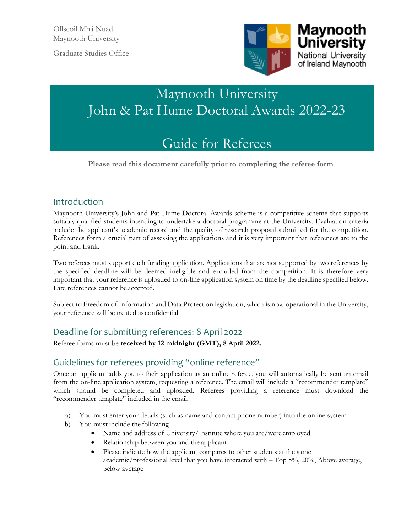Graduate Studies Office



# Maynooth University John & Pat Hume Doctoral Awards 2022-23

# Guide for Referees

**Please read this document carefully prior to completing the referee form**

## Introduction

Maynooth University's John and Pat Hume Doctoral Awards scheme is a competitive scheme that supports suitably qualified students intending to undertake a doctoral programme at the University. Evaluation criteria include the applicant's academic record and the quality of research proposal submitted for the competition. References form a crucial part of assessing the applications and it is very important that references are to the point and frank.

Two referees must support each funding application. Applications that are not supported by two references by the specified deadline will be deemed ineligible and excluded from the competition. It is therefore very important that your reference is uploaded to on-line application system on time by the deadline specified below. Late references cannot be accepted.

Subject to Freedom of Information and Data Protection legislation, which is now operational in the University, your reference will be treated as confidential.

# Deadline for submitting references: 8 April 2022

Referee forms must be **received by 12 midnight (GMT), 8 April 2022.** 

### Guidelines for referees providing "online reference"

Once an applicant adds you to their application as an online referee, you will automatically be sent an email from the on-line application system, requesting a reference. The email will include a "recommender template" which should be completed and uploaded. Referees providing a reference must [down](http://www.pac.ie/pgrad/downloads/TemplateRecommender.docx)load the ["recomm](http://www.pac.ie/pgrad/downloads/TemplateRecommender.docx)ender template" included in the email.

- a) You must enter your details (such as name and contact phone number) into the online system
- b) You must include the following
	- Name and address of University/Institute where you are/were employed
	- Relationship between you and the applicant
	- Please indicate how the applicant compares to other students at the same academic/professional level that you have interacted with – Top 5%, 20%, Above average, below average